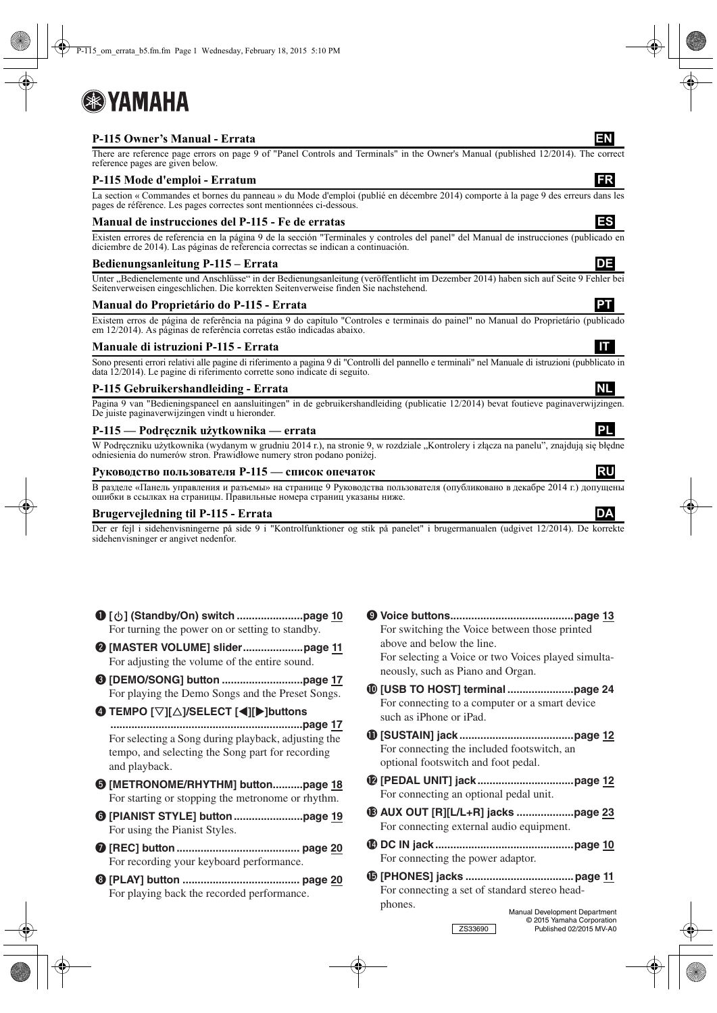# 8 YAMAHA

# **P-115 Owner's Manual - Errata EN**

There are reference page errors on page 9 of "Panel Controls and Terminals" in the Owner's Manual (published 12/2014). The correct reference pages are given below.

## **P-115 Mode d'emploi - Erratum**

La section « Commandes et bornes du panneau » du Mode d'emploi (publié en décembre 2014) comporte à la page 9 des erreurs dans les pages de référence. Les pages correctes sont mentionnées ci-dessous.

### **Manual de instrucciones del P-115 - Fe de erratas ES**

Existen errores de referencia en la página 9 de la sección "Terminales y controles del panel" del Manual de instrucciones (publicado en diciembre de 2014). Las páginas de referencia correctas se indican a continuación.

#### **Bedienungsanleitung P-115 – Errata DE**

Unter "Bedienelemente und Anschlüsse" in der Bedienungsanleitung (veröffentlicht im Dezember 2014) haben sich auf Seite 9 Fehler bei Seitenverweisen eingeschlichen. Die korrekten Seitenverweise finden Sie nachstehend.

### **Manual do Proprietário do P-115 - Errata PT**

Existem erros de página de referência na página 9 do capítulo "Controles e terminais do painel" no Manual do Proprietário (publicado em 12/2014). As páginas de referência corretas estão indicadas abaixo.

#### **Manuale di istruzioni P-115 - Errata ITT**

Sono presenti errori relativi alle pagine di riferimento a pagina 9 di "Controlli del pannello e terminali" nel Manuale di istruzioni (pubblicato in data 12/2014). Le pagine di riferimento corrette sono indicate di seguito.

#### **P-115 Gebruikershandleiding - Errata NL**

Pagina 9 van "Bedieningspaneel en aansluitingen" in de gebruikershandleiding (publicatie 12/2014) bevat foutieve paginaverwijzingen. De juiste paginaverwijzingen vindt u hieronder.

#### **P-115 — Podręcznik użytkownika — errata PL**

W Podręczniku użytkownika (wydanym w grudniu 2014 r.), na stronie 9, w rozdziale "Kontrolery i złącza na panelu", znajdują się błędne odniesienia do numerów stron. Prawidłowe numery stron podano poniżej.

#### **Руководство пользователя P-115 — список опечаток RU**

В разделе «Панель управления и разъемы» на странице 9 Руководства пользователя (опубликовано в декабре 2014 г.) допущены ошибки в ссылках на страницы. Правильные номера страниц указаны ниже.

#### **Brugervejledning til P-115 - Errata DA**

Der er fejl i sidehenvisningerne på side 9 i "Kontrolfunktioner og stik på panelet" i brugermanualen (udgivet 12/2014). De korrekte sidehenvisninger er angivet nedenfor.

| For turning the power on or setting to standby.                                                                          | 9) |
|--------------------------------------------------------------------------------------------------------------------------|----|
| For adjusting the volume of the entire sound.                                                                            |    |
| For playing the Demo Songs and the Preset Songs.                                                                         | 10 |
| <b>4</b> TEMPO [▽][△]/SELECT [◀][▶]buttons                                                                               |    |
| For selecting a Song during playback, adjusting the<br>tempo, and selecting the Song part for recording<br>and playback. | ⋒  |
| <b>The IMETRONOME/RHYTHM]</b> buttonpage 18<br>For starting or stopping the metronome or rhythm.                         | œ  |
| For using the Pianist Styles.                                                                                            | ®  |
| For recording your keyboard performance.                                                                                 | Ø  |
| For playing back the recorded performance.                                                                               | ß  |

- o **Voice buttons.........................................page 13** For switching the Voice between those printed above and below the line. For selecting a Voice or two Voices played simultaneously, such as Piano and Organ. !0**[USB TO HOST] terminal ......................page 24** For connecting to a computer or a smart device such as iPhone or iPad. !1**[SUSTAIN] jack ......................................page 12**
- For connecting the included footswitch, an optional footswitch and foot pedal.
- !2**[PEDAL UNIT] jack................................page 12** For connecting an optional pedal unit.
- !3**AUX OUT [R][L/L+R] jacks ...................page 23** For connecting external audio equipment.
- !4**DC IN jack ..............................................page 10** For connecting the power adaptor.
- !5**[PHONES] jacks ....................................page 11** For connecting a set of standard stereo headphones. Manual Development Department

© 2015 Yamaha Corporation ZS33690 Published 02/2015 MV-A0



- 
- 
-